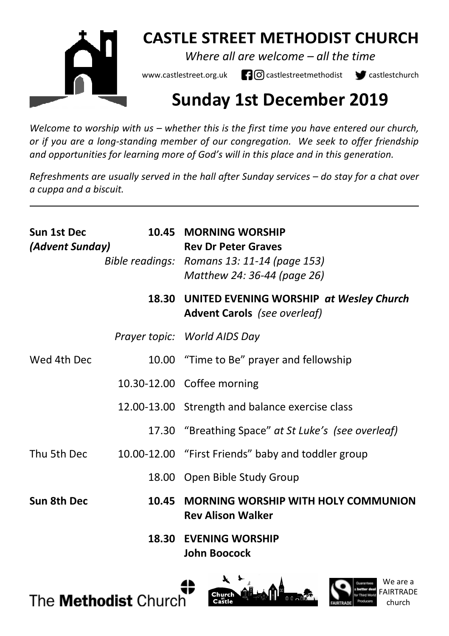

# **CASTLE STREET METHODIST CHURCH**

*Where all are welcome – all the time* 

www.castlestreet.org.uk  $\Box$  O castlestreetmethodist  $\Box$  castlestchurch

# **Sunday 1st December 2019**

*Welcome to worship with us – whether this is the first time you have entered our church, or if you are a long-standing member of our congregation. We seek to offer friendship and opportunities for learning more of God's will in this place and in this generation.* 

*Refreshments are usually served in the hall after Sunday services – do stay for a chat over a cuppa and a biscuit.*

| Sun 1st Dec<br>(Advent Sunday) |       | 10.45 MORNING WORSHIP<br><b>Rev Dr Peter Graves</b><br>Bible readings: Romans 13: 11-14 (page 153)<br>Matthew 24: 36-44 (page 26) |
|--------------------------------|-------|-----------------------------------------------------------------------------------------------------------------------------------|
|                                |       | 18.30 UNITED EVENING WORSHIP at Wesley Church<br><b>Advent Carols</b> (see overleaf)                                              |
|                                |       | Prayer topic: World AIDS Day                                                                                                      |
| Wed 4th Dec                    |       | 10.00 "Time to Be" prayer and fellowship                                                                                          |
|                                |       | 10.30-12.00 Coffee morning                                                                                                        |
|                                |       | 12.00-13.00 Strength and balance exercise class                                                                                   |
|                                |       | 17.30 "Breathing Space" at St Luke's (see overleaf)                                                                               |
| Thu 5th Dec                    |       | 10.00-12.00 "First Friends" baby and toddler group                                                                                |
|                                |       | 18.00 Open Bible Study Group                                                                                                      |
| Sun 8th Dec                    | 10.45 | MORNING WORSHIP WITH HOLY COMMUNION<br><b>Rev Alison Walker</b>                                                                   |
|                                |       | <b>18.30 EVENING WORSHIP</b><br><b>John Boocock</b>                                                                               |





We are a

church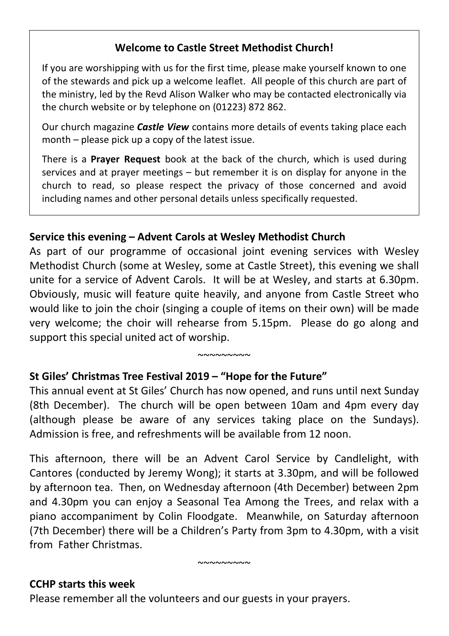# **Welcome to Castle Street Methodist Church!**

If you are worshipping with us for the first time, please make yourself known to one of the stewards and pick up a welcome leaflet. All people of this church are part of the ministry, led by the Revd Alison Walker who may be contacted electronically via the church website or by telephone on (01223) 872 862.

Our church magazine *Castle View* contains more details of events taking place each month – please pick up a copy of the latest issue.

There is a **Prayer Request** book at the back of the church, which is used during services and at prayer meetings – but remember it is on display for anyone in the church to read, so please respect the privacy of those concerned and avoid including names and other personal details unless specifically requested.

# **Service this evening – Advent Carols at Wesley Methodist Church**

As part of our programme of occasional joint evening services with Wesley Methodist Church (some at Wesley, some at Castle Street), this evening we shall unite for a service of Advent Carols. It will be at Wesley, and starts at 6.30pm. Obviously, music will feature quite heavily, and anyone from Castle Street who would like to join the choir (singing a couple of items on their own) will be made very welcome; the choir will rehearse from 5.15pm. Please do go along and support this special united act of worship.

#### ~~~~~~~~

## **St Giles' Christmas Tree Festival 2019 – "Hope for the Future"**

This annual event at St Giles' Church has now opened, and runs until next Sunday (8th December). The church will be open between 10am and 4pm every day (although please be aware of any services taking place on the Sundays). Admission is free, and refreshments will be available from 12 noon.

This afternoon, there will be an Advent Carol Service by Candlelight, with Cantores (conducted by Jeremy Wong); it starts at 3.30pm, and will be followed by afternoon tea. Then, on Wednesday afternoon (4th December) between 2pm and 4.30pm you can enjoy a Seasonal Tea Among the Trees, and relax with a piano accompaniment by Colin Floodgate. Meanwhile, on Saturday afternoon (7th December) there will be a Children's Party from 3pm to 4.30pm, with a visit from Father Christmas.

 $~\sim$  $\sim$  $\sim$  $\sim$  $\sim$  $\sim$ 

#### **CCHP starts this week**

Please remember all the volunteers and our guests in your prayers.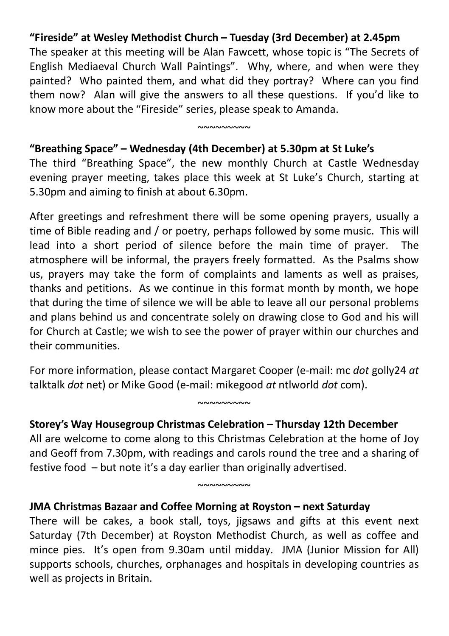# **"Fireside" at Wesley Methodist Church – Tuesday (3rd December) at 2.45pm**

The speaker at this meeting will be Alan Fawcett, whose topic is "The Secrets of English Mediaeval Church Wall Paintings". Why, where, and when were they painted? Who painted them, and what did they portray? Where can you find them now? Alan will give the answers to all these questions. If you'd like to know more about the "Fireside" series, please speak to Amanda.

### **"Breathing Space" – Wednesday (4th December) at 5.30pm at St Luke's**

The third "Breathing Space", the new monthly Church at Castle Wednesday evening prayer meeting, takes place this week at St Luke's Church, starting at 5.30pm and aiming to finish at about 6.30pm.

 $~\sim$ ~~~~~~~

After greetings and refreshment there will be some opening prayers, usually a time of Bible reading and / or poetry, perhaps followed by some music. This will lead into a short period of silence before the main time of prayer. The atmosphere will be informal, the prayers freely formatted. As the Psalms show us, prayers may take the form of complaints and laments as well as praises, thanks and petitions. As we continue in this format month by month, we hope that during the time of silence we will be able to leave all our personal problems and plans behind us and concentrate solely on drawing close to God and his will for Church at Castle; we wish to see the power of prayer within our churches and their communities.

For more information, please contact Margaret Cooper (e-mail: mc *dot* golly24 *at*  talktalk *dot* net) or Mike Good (e-mail: mikegood *at* ntlworld *dot* com).

 $~^{\circ}$ 

#### **Storey's Way Housegroup Christmas Celebration – Thursday 12th December**

All are welcome to come along to this Christmas Celebration at the home of Joy and Geoff from 7.30pm, with readings and carols round the tree and a sharing of festive food – but note it's a day earlier than originally advertised.

 $~\sim$ ~~~~~~~

#### **JMA Christmas Bazaar and Coffee Morning at Royston – next Saturday**

There will be cakes, a book stall, toys, jigsaws and gifts at this event next Saturday (7th December) at Royston Methodist Church, as well as coffee and mince pies. It's open from 9.30am until midday. JMA (Junior Mission for All) supports schools, churches, orphanages and hospitals in developing countries as well as projects in Britain.